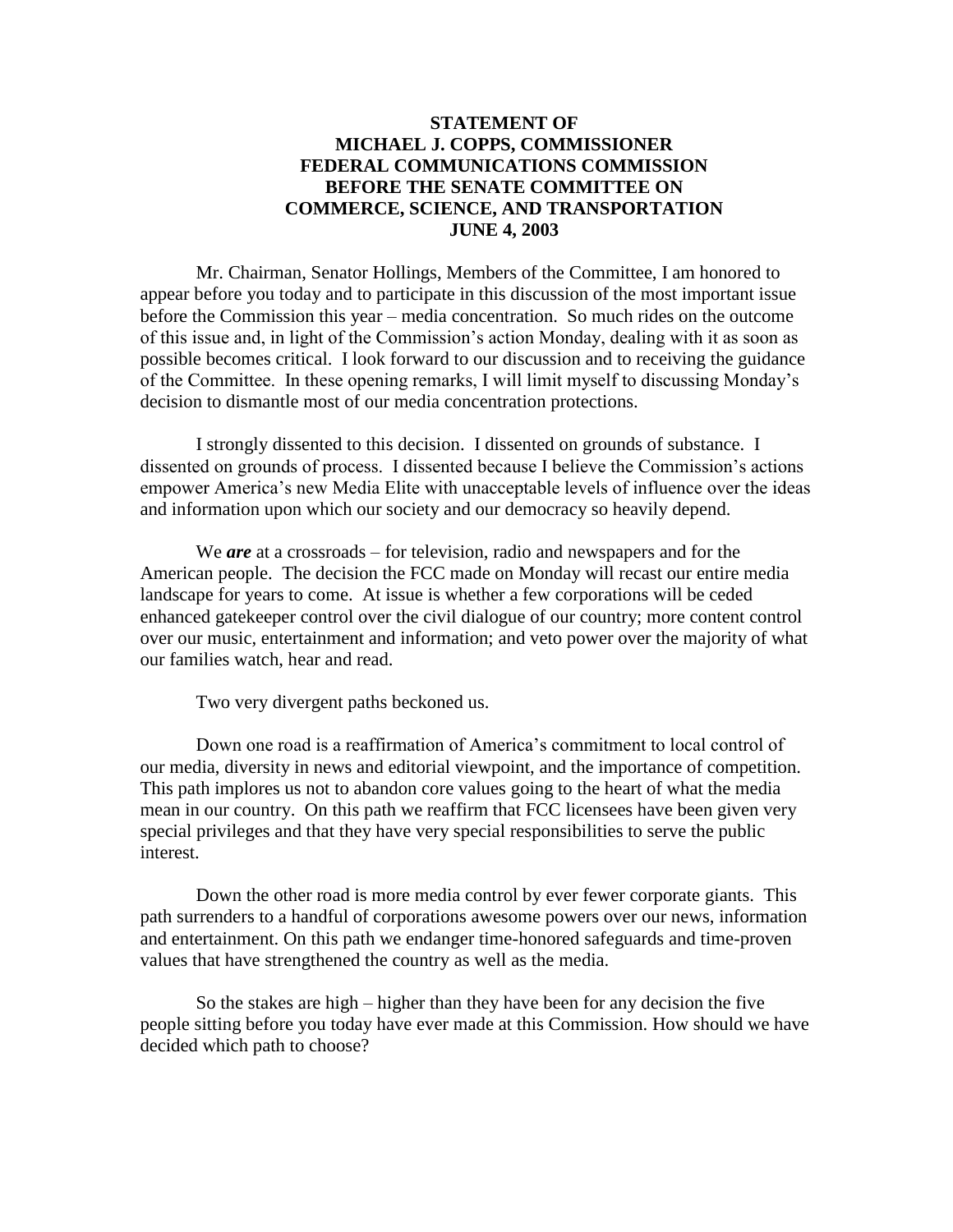## **STATEMENT OF MICHAEL J. COPPS, COMMISSIONER FEDERAL COMMUNICATIONS COMMISSION BEFORE THE SENATE COMMITTEE ON COMMERCE, SCIENCE, AND TRANSPORTATION JUNE 4, 2003**

Mr. Chairman, Senator Hollings, Members of the Committee, I am honored to appear before you today and to participate in this discussion of the most important issue before the Commission this year – media concentration. So much rides on the outcome of this issue and, in light of the Commission's action Monday, dealing with it as soon as possible becomes critical. I look forward to our discussion and to receiving the guidance of the Committee. In these opening remarks, I will limit myself to discussing Monday's decision to dismantle most of our media concentration protections.

I strongly dissented to this decision. I dissented on grounds of substance. I dissented on grounds of process. I dissented because I believe the Commission's actions empower America's new Media Elite with unacceptable levels of influence over the ideas and information upon which our society and our democracy so heavily depend.

We *are* at a crossroads – for television, radio and newspapers and for the American people. The decision the FCC made on Monday will recast our entire media landscape for years to come. At issue is whether a few corporations will be ceded enhanced gatekeeper control over the civil dialogue of our country; more content control over our music, entertainment and information; and veto power over the majority of what our families watch, hear and read.

Two very divergent paths beckoned us.

Down one road is a reaffirmation of America's commitment to local control of our media, diversity in news and editorial viewpoint, and the importance of competition. This path implores us not to abandon core values going to the heart of what the media mean in our country. On this path we reaffirm that FCC licensees have been given very special privileges and that they have very special responsibilities to serve the public interest.

Down the other road is more media control by ever fewer corporate giants. This path surrenders to a handful of corporations awesome powers over our news, information and entertainment. On this path we endanger time-honored safeguards and time-proven values that have strengthened the country as well as the media.

So the stakes are high – higher than they have been for any decision the five people sitting before you today have ever made at this Commission. How should we have decided which path to choose?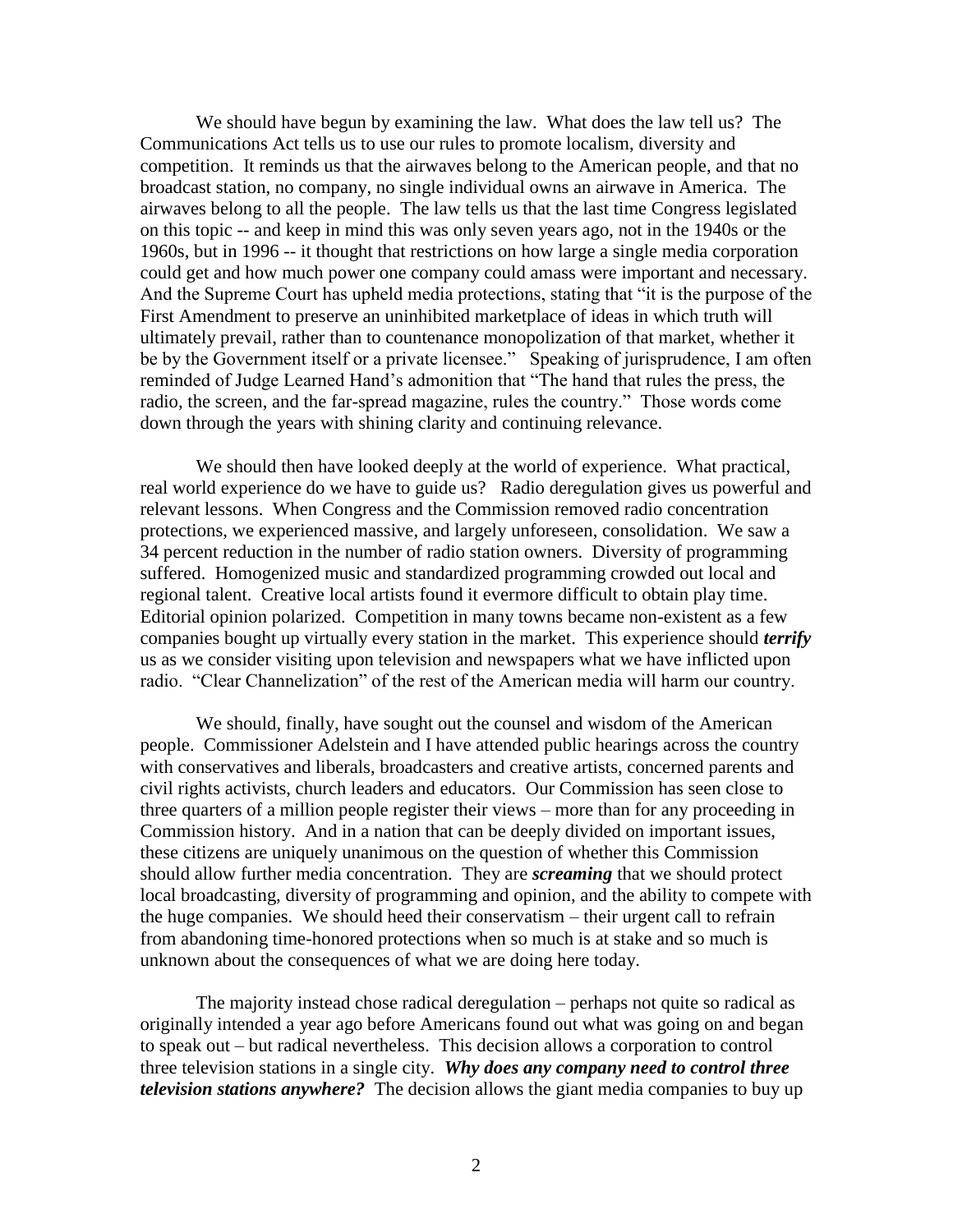We should have begun by examining the law. What does the law tell us? The Communications Act tells us to use our rules to promote localism, diversity and competition. It reminds us that the airwaves belong to the American people, and that no broadcast station, no company, no single individual owns an airwave in America. The airwaves belong to all the people. The law tells us that the last time Congress legislated on this topic -- and keep in mind this was only seven years ago, not in the 1940s or the 1960s, but in 1996 -- it thought that restrictions on how large a single media corporation could get and how much power one company could amass were important and necessary. And the Supreme Court has upheld media protections, stating that "it is the purpose of the First Amendment to preserve an uninhibited marketplace of ideas in which truth will ultimately prevail, rather than to countenance monopolization of that market, whether it be by the Government itself or a private licensee." Speaking of jurisprudence, I am often reminded of Judge Learned Hand's admonition that "The hand that rules the press, the radio, the screen, and the far-spread magazine, rules the country." Those words come down through the years with shining clarity and continuing relevance.

We should then have looked deeply at the world of experience. What practical, real world experience do we have to guide us? Radio deregulation gives us powerful and relevant lessons. When Congress and the Commission removed radio concentration protections, we experienced massive, and largely unforeseen, consolidation. We saw a 34 percent reduction in the number of radio station owners. Diversity of programming suffered. Homogenized music and standardized programming crowded out local and regional talent. Creative local artists found it evermore difficult to obtain play time. Editorial opinion polarized. Competition in many towns became non-existent as a few companies bought up virtually every station in the market. This experience should *terrify* us as we consider visiting upon television and newspapers what we have inflicted upon radio. "Clear Channelization" of the rest of the American media will harm our country.

We should, finally, have sought out the counsel and wisdom of the American people. Commissioner Adelstein and I have attended public hearings across the country with conservatives and liberals, broadcasters and creative artists, concerned parents and civil rights activists, church leaders and educators. Our Commission has seen close to three quarters of a million people register their views – more than for any proceeding in Commission history. And in a nation that can be deeply divided on important issues, these citizens are uniquely unanimous on the question of whether this Commission should allow further media concentration. They are *screaming* that we should protect local broadcasting, diversity of programming and opinion, and the ability to compete with the huge companies. We should heed their conservatism – their urgent call to refrain from abandoning time-honored protections when so much is at stake and so much is unknown about the consequences of what we are doing here today.

The majority instead chose radical deregulation – perhaps not quite so radical as originally intended a year ago before Americans found out what was going on and began to speak out – but radical nevertheless. This decision allows a corporation to control three television stations in a single city. *Why does any company need to control three television stations anywhere?* The decision allows the giant media companies to buy up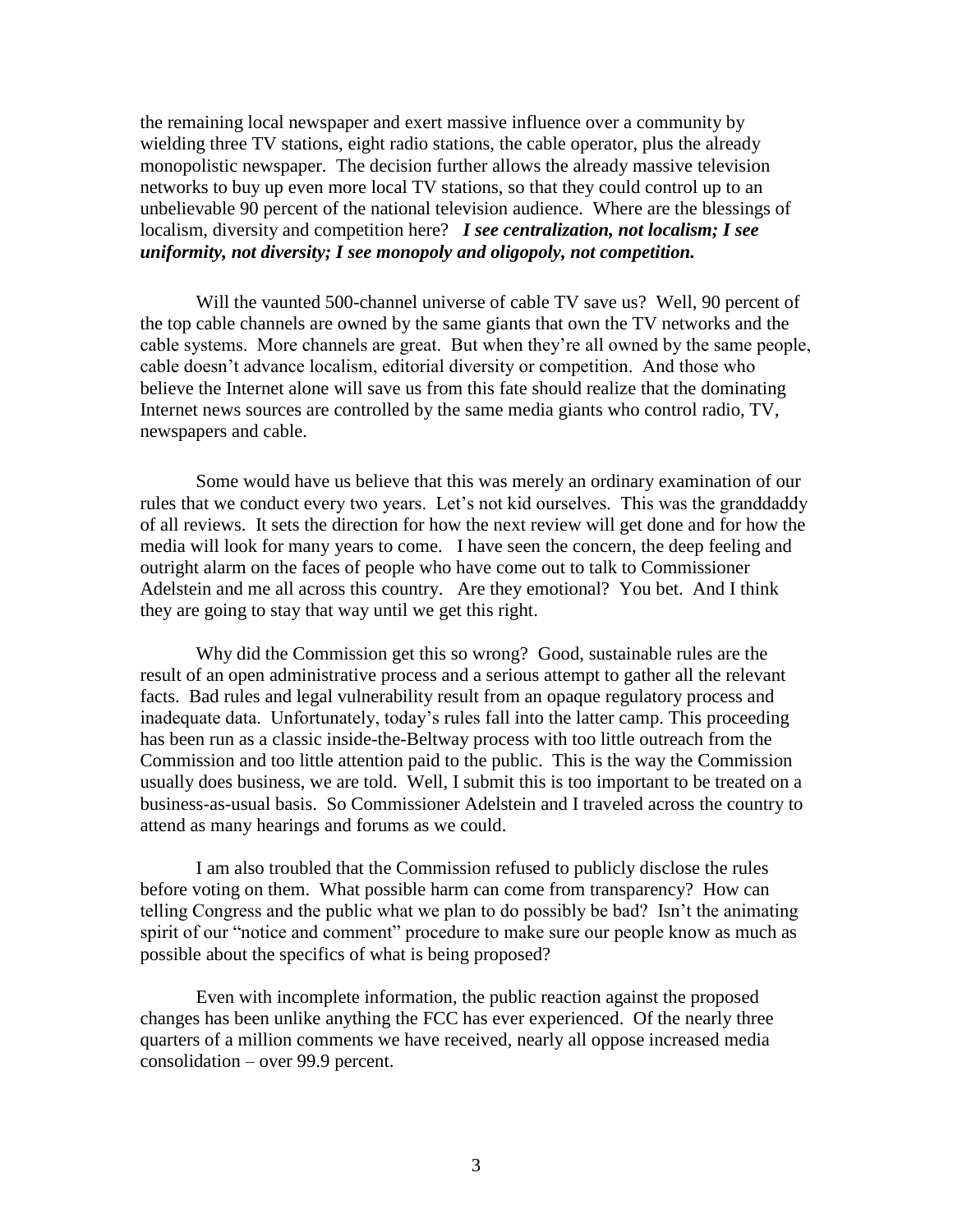the remaining local newspaper and exert massive influence over a community by wielding three TV stations, eight radio stations, the cable operator, plus the already monopolistic newspaper. The decision further allows the already massive television networks to buy up even more local TV stations, so that they could control up to an unbelievable 90 percent of the national television audience. Where are the blessings of localism, diversity and competition here? *I see centralization, not localism; I see uniformity, not diversity; I see monopoly and oligopoly, not competition.*

Will the vaunted 500-channel universe of cable TV save us? Well, 90 percent of the top cable channels are owned by the same giants that own the TV networks and the cable systems. More channels are great. But when they're all owned by the same people, cable doesn't advance localism, editorial diversity or competition. And those who believe the Internet alone will save us from this fate should realize that the dominating Internet news sources are controlled by the same media giants who control radio, TV, newspapers and cable.

Some would have us believe that this was merely an ordinary examination of our rules that we conduct every two years. Let's not kid ourselves. This was the granddaddy of all reviews. It sets the direction for how the next review will get done and for how the media will look for many years to come. I have seen the concern, the deep feeling and outright alarm on the faces of people who have come out to talk to Commissioner Adelstein and me all across this country. Are they emotional? You bet. And I think they are going to stay that way until we get this right.

Why did the Commission get this so wrong? Good, sustainable rules are the result of an open administrative process and a serious attempt to gather all the relevant facts. Bad rules and legal vulnerability result from an opaque regulatory process and inadequate data. Unfortunately, today's rules fall into the latter camp. This proceeding has been run as a classic inside-the-Beltway process with too little outreach from the Commission and too little attention paid to the public. This is the way the Commission usually does business, we are told. Well, I submit this is too important to be treated on a business-as-usual basis. So Commissioner Adelstein and I traveled across the country to attend as many hearings and forums as we could.

I am also troubled that the Commission refused to publicly disclose the rules before voting on them. What possible harm can come from transparency? How can telling Congress and the public what we plan to do possibly be bad? Isn't the animating spirit of our "notice and comment" procedure to make sure our people know as much as possible about the specifics of what is being proposed?

Even with incomplete information, the public reaction against the proposed changes has been unlike anything the FCC has ever experienced. Of the nearly three quarters of a million comments we have received, nearly all oppose increased media consolidation – over 99.9 percent.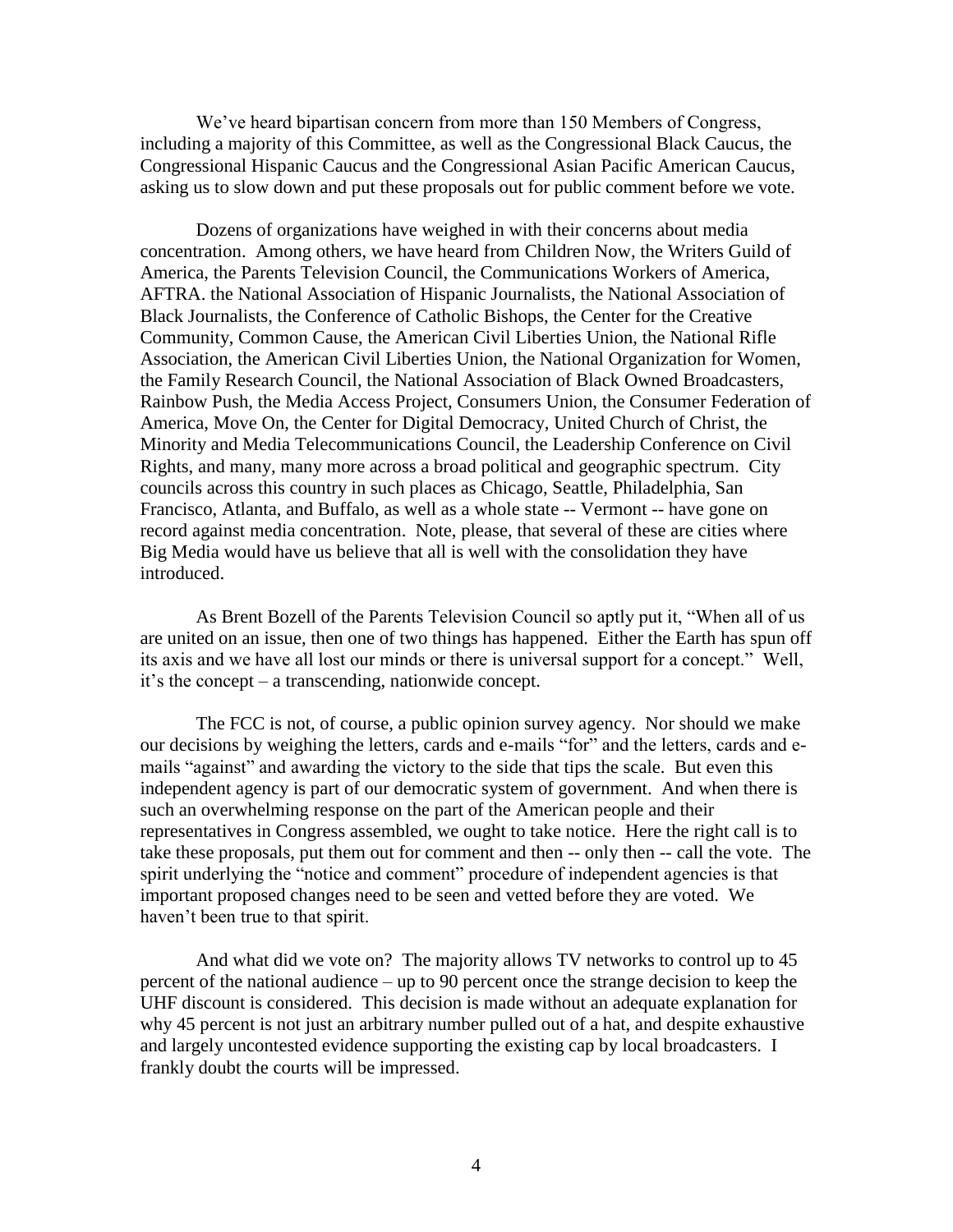We've heard bipartisan concern from more than 150 Members of Congress, including a majority of this Committee, as well as the Congressional Black Caucus, the Congressional Hispanic Caucus and the Congressional Asian Pacific American Caucus, asking us to slow down and put these proposals out for public comment before we vote.

Dozens of organizations have weighed in with their concerns about media concentration. Among others, we have heard from Children Now, the Writers Guild of America, the Parents Television Council, the Communications Workers of America, AFTRA. the National Association of Hispanic Journalists, the National Association of Black Journalists, the Conference of Catholic Bishops, the Center for the Creative Community, Common Cause, the American Civil Liberties Union, the National Rifle Association, the American Civil Liberties Union, the National Organization for Women, the Family Research Council, the National Association of Black Owned Broadcasters, Rainbow Push, the Media Access Project, Consumers Union, the Consumer Federation of America, Move On, the Center for Digital Democracy, United Church of Christ, the Minority and Media Telecommunications Council, the Leadership Conference on Civil Rights, and many, many more across a broad political and geographic spectrum. City councils across this country in such places as Chicago, Seattle, Philadelphia, San Francisco, Atlanta, and Buffalo, as well as a whole state -- Vermont -- have gone on record against media concentration. Note, please, that several of these are cities where Big Media would have us believe that all is well with the consolidation they have introduced.

As Brent Bozell of the Parents Television Council so aptly put it, "When all of us are united on an issue, then one of two things has happened. Either the Earth has spun off its axis and we have all lost our minds or there is universal support for a concept." Well, it's the concept – a transcending, nationwide concept.

The FCC is not, of course, a public opinion survey agency. Nor should we make our decisions by weighing the letters, cards and e-mails "for" and the letters, cards and emails "against" and awarding the victory to the side that tips the scale. But even this independent agency is part of our democratic system of government. And when there is such an overwhelming response on the part of the American people and their representatives in Congress assembled, we ought to take notice. Here the right call is to take these proposals, put them out for comment and then -- only then -- call the vote. The spirit underlying the "notice and comment" procedure of independent agencies is that important proposed changes need to be seen and vetted before they are voted. We haven't been true to that spirit.

And what did we vote on? The majority allows TV networks to control up to 45 percent of the national audience – up to 90 percent once the strange decision to keep the UHF discount is considered. This decision is made without an adequate explanation for why 45 percent is not just an arbitrary number pulled out of a hat, and despite exhaustive and largely uncontested evidence supporting the existing cap by local broadcasters. I frankly doubt the courts will be impressed.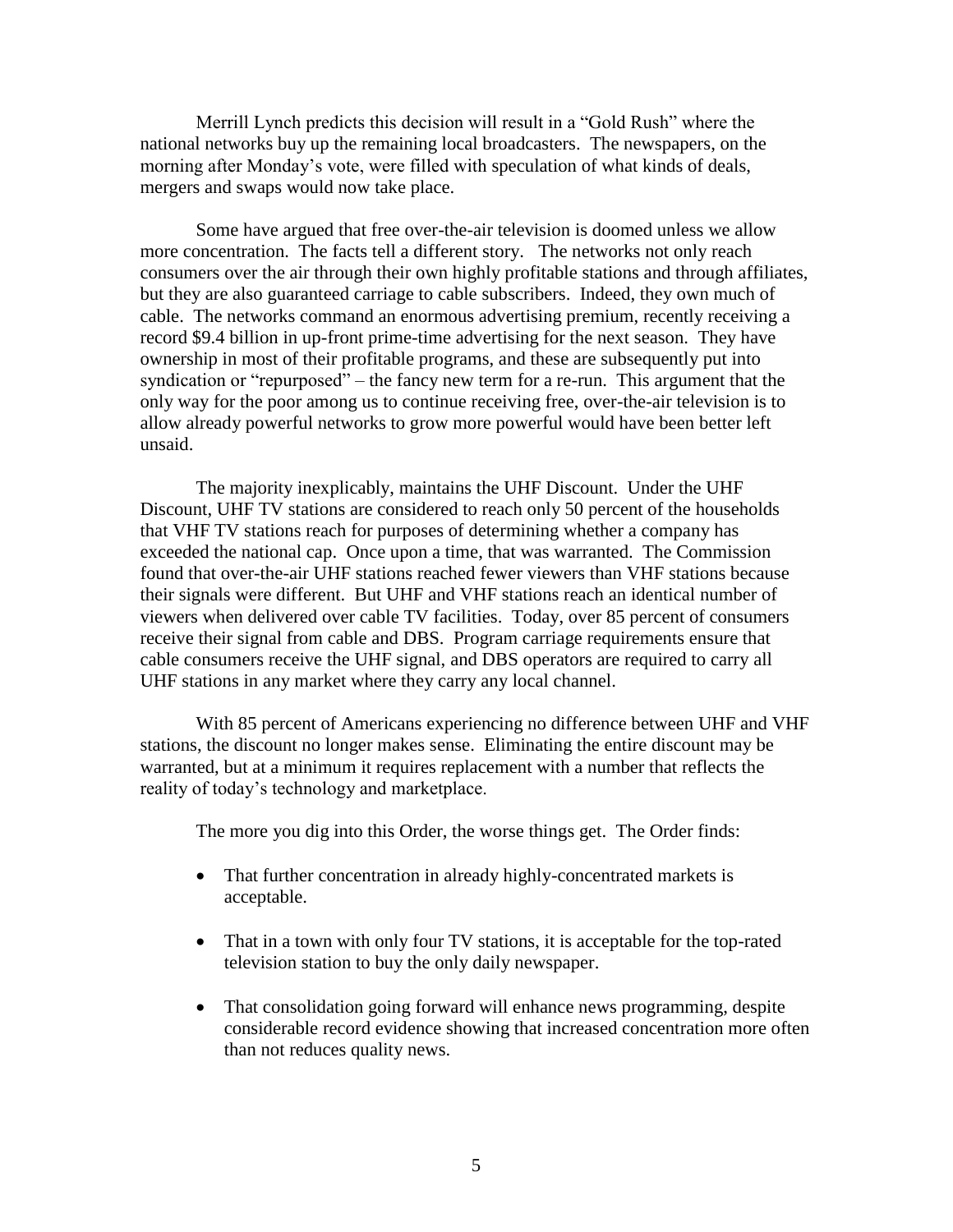Merrill Lynch predicts this decision will result in a "Gold Rush" where the national networks buy up the remaining local broadcasters. The newspapers, on the morning after Monday's vote, were filled with speculation of what kinds of deals, mergers and swaps would now take place.

Some have argued that free over-the-air television is doomed unless we allow more concentration. The facts tell a different story. The networks not only reach consumers over the air through their own highly profitable stations and through affiliates, but they are also guaranteed carriage to cable subscribers. Indeed, they own much of cable. The networks command an enormous advertising premium, recently receiving a record \$9.4 billion in up-front prime-time advertising for the next season. They have ownership in most of their profitable programs, and these are subsequently put into syndication or "repurposed" – the fancy new term for a re-run. This argument that the only way for the poor among us to continue receiving free, over-the-air television is to allow already powerful networks to grow more powerful would have been better left unsaid.

The majority inexplicably, maintains the UHF Discount. Under the UHF Discount, UHF TV stations are considered to reach only 50 percent of the households that VHF TV stations reach for purposes of determining whether a company has exceeded the national cap. Once upon a time, that was warranted. The Commission found that over-the-air UHF stations reached fewer viewers than VHF stations because their signals were different. But UHF and VHF stations reach an identical number of viewers when delivered over cable TV facilities. Today, over 85 percent of consumers receive their signal from cable and DBS. Program carriage requirements ensure that cable consumers receive the UHF signal, and DBS operators are required to carry all UHF stations in any market where they carry any local channel.

With 85 percent of Americans experiencing no difference between UHF and VHF stations, the discount no longer makes sense. Eliminating the entire discount may be warranted, but at a minimum it requires replacement with a number that reflects the reality of today's technology and marketplace.

The more you dig into this Order, the worse things get. The Order finds:

- That further concentration in already highly-concentrated markets is acceptable.
- That in a town with only four TV stations, it is acceptable for the top-rated television station to buy the only daily newspaper.
- That consolidation going forward will enhance news programming, despite considerable record evidence showing that increased concentration more often than not reduces quality news.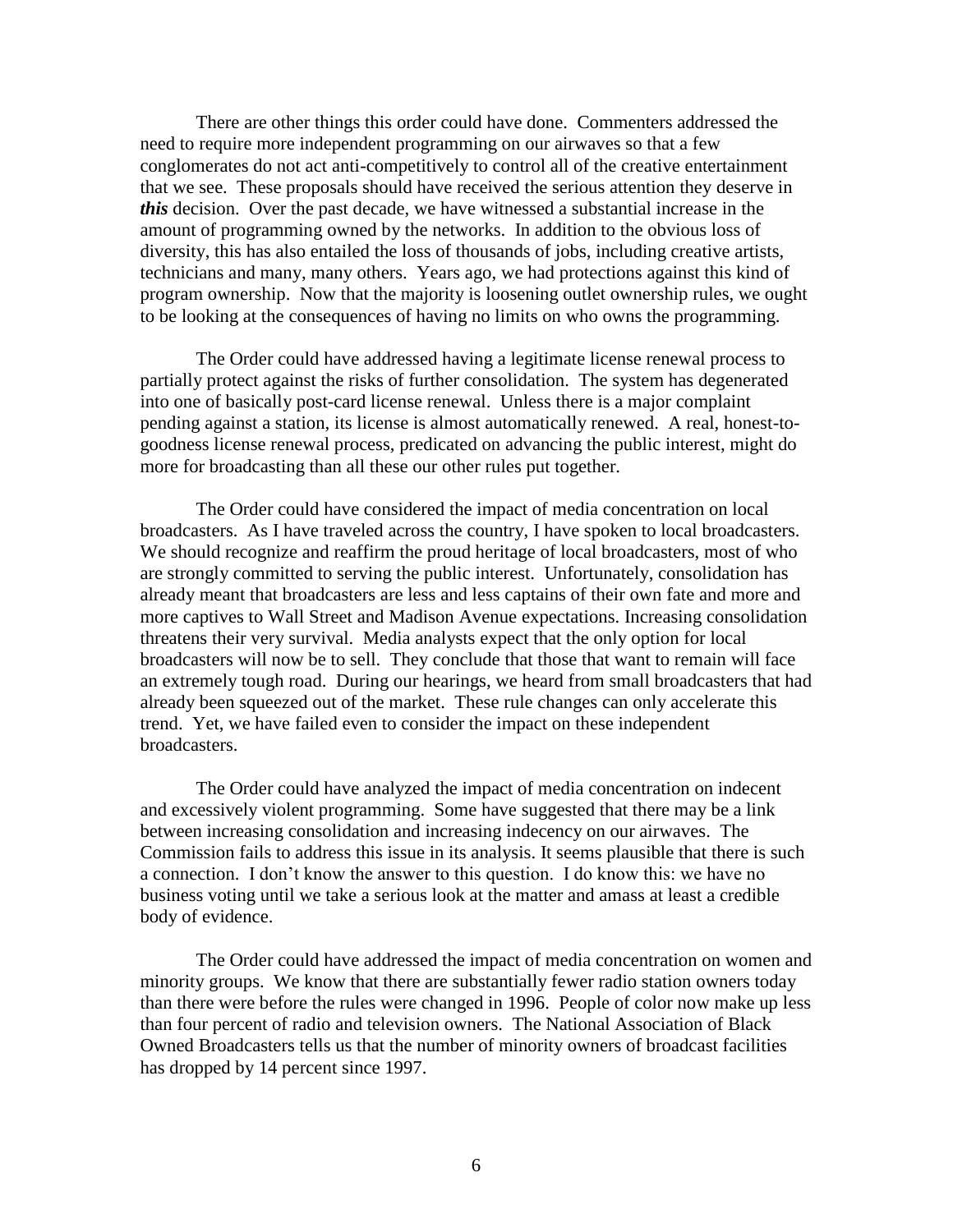There are other things this order could have done. Commenters addressed the need to require more independent programming on our airwaves so that a few conglomerates do not act anti-competitively to control all of the creative entertainment that we see. These proposals should have received the serious attention they deserve in *this* decision. Over the past decade, we have witnessed a substantial increase in the amount of programming owned by the networks. In addition to the obvious loss of diversity, this has also entailed the loss of thousands of jobs, including creative artists, technicians and many, many others. Years ago, we had protections against this kind of program ownership. Now that the majority is loosening outlet ownership rules, we ought to be looking at the consequences of having no limits on who owns the programming.

The Order could have addressed having a legitimate license renewal process to partially protect against the risks of further consolidation. The system has degenerated into one of basically post-card license renewal. Unless there is a major complaint pending against a station, its license is almost automatically renewed. A real, honest-togoodness license renewal process, predicated on advancing the public interest, might do more for broadcasting than all these our other rules put together.

The Order could have considered the impact of media concentration on local broadcasters. As I have traveled across the country, I have spoken to local broadcasters. We should recognize and reaffirm the proud heritage of local broadcasters, most of who are strongly committed to serving the public interest. Unfortunately, consolidation has already meant that broadcasters are less and less captains of their own fate and more and more captives to Wall Street and Madison Avenue expectations. Increasing consolidation threatens their very survival. Media analysts expect that the only option for local broadcasters will now be to sell. They conclude that those that want to remain will face an extremely tough road. During our hearings, we heard from small broadcasters that had already been squeezed out of the market. These rule changes can only accelerate this trend. Yet, we have failed even to consider the impact on these independent broadcasters.

The Order could have analyzed the impact of media concentration on indecent and excessively violent programming. Some have suggested that there may be a link between increasing consolidation and increasing indecency on our airwaves. The Commission fails to address this issue in its analysis. It seems plausible that there is such a connection. I don't know the answer to this question. I do know this: we have no business voting until we take a serious look at the matter and amass at least a credible body of evidence.

The Order could have addressed the impact of media concentration on women and minority groups. We know that there are substantially fewer radio station owners today than there were before the rules were changed in 1996. People of color now make up less than four percent of radio and television owners. The National Association of Black Owned Broadcasters tells us that the number of minority owners of broadcast facilities has dropped by 14 percent since 1997.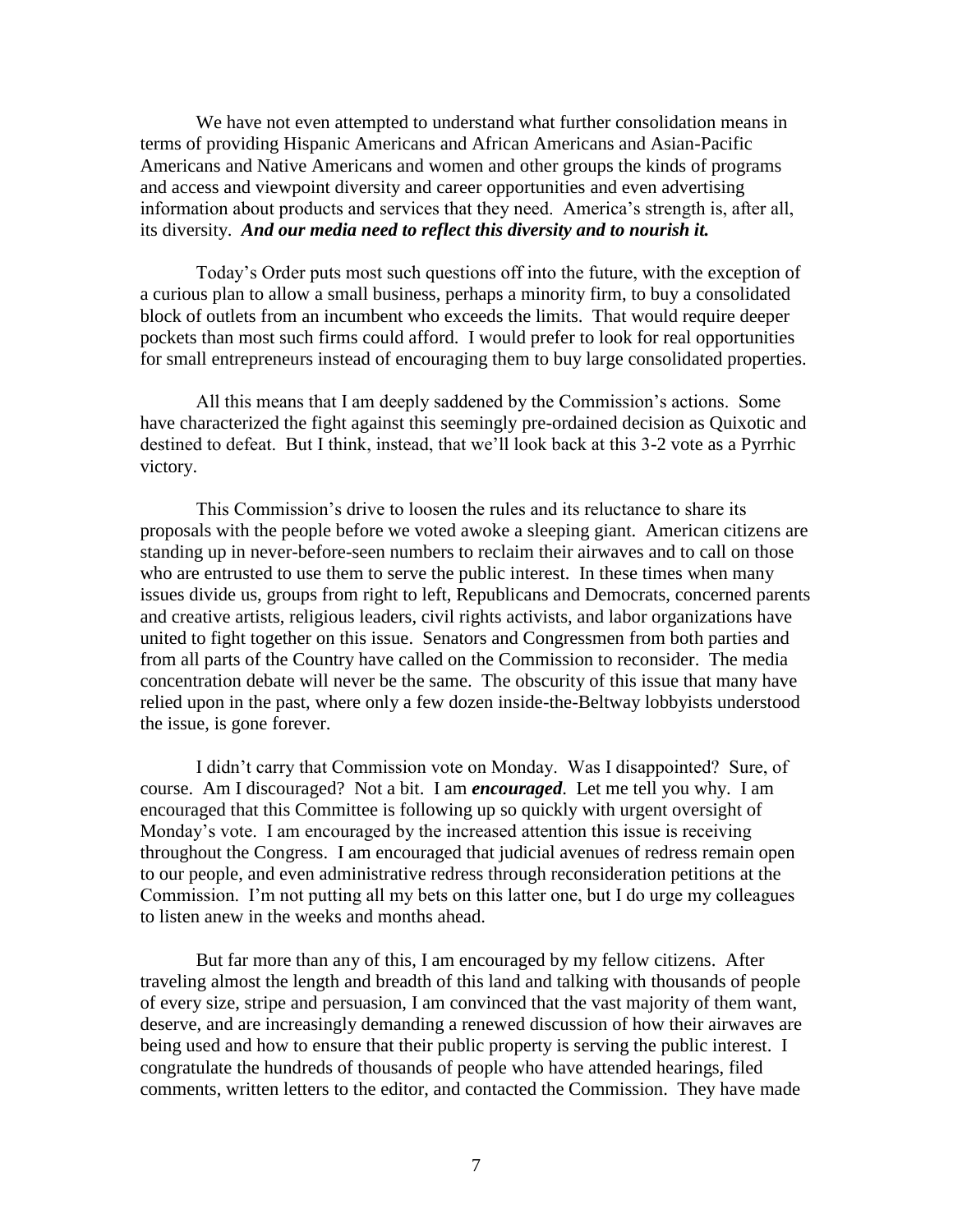We have not even attempted to understand what further consolidation means in terms of providing Hispanic Americans and African Americans and Asian-Pacific Americans and Native Americans and women and other groups the kinds of programs and access and viewpoint diversity and career opportunities and even advertising information about products and services that they need. America's strength is, after all, its diversity. *And our media need to reflect this diversity and to nourish it.*

Today's Order puts most such questions off into the future, with the exception of a curious plan to allow a small business, perhaps a minority firm, to buy a consolidated block of outlets from an incumbent who exceeds the limits. That would require deeper pockets than most such firms could afford. I would prefer to look for real opportunities for small entrepreneurs instead of encouraging them to buy large consolidated properties.

All this means that I am deeply saddened by the Commission's actions. Some have characterized the fight against this seemingly pre-ordained decision as Quixotic and destined to defeat. But I think, instead, that we'll look back at this 3-2 vote as a Pyrrhic victory.

This Commission's drive to loosen the rules and its reluctance to share its proposals with the people before we voted awoke a sleeping giant. American citizens are standing up in never-before-seen numbers to reclaim their airwaves and to call on those who are entrusted to use them to serve the public interest. In these times when many issues divide us, groups from right to left, Republicans and Democrats, concerned parents and creative artists, religious leaders, civil rights activists, and labor organizations have united to fight together on this issue. Senators and Congressmen from both parties and from all parts of the Country have called on the Commission to reconsider. The media concentration debate will never be the same. The obscurity of this issue that many have relied upon in the past, where only a few dozen inside-the-Beltway lobbyists understood the issue, is gone forever.

I didn't carry that Commission vote on Monday. Was I disappointed? Sure, of course. Am I discouraged? Not a bit. I am *encouraged*. Let me tell you why. I am encouraged that this Committee is following up so quickly with urgent oversight of Monday's vote. I am encouraged by the increased attention this issue is receiving throughout the Congress. I am encouraged that judicial avenues of redress remain open to our people, and even administrative redress through reconsideration petitions at the Commission. I'm not putting all my bets on this latter one, but I do urge my colleagues to listen anew in the weeks and months ahead.

But far more than any of this, I am encouraged by my fellow citizens. After traveling almost the length and breadth of this land and talking with thousands of people of every size, stripe and persuasion, I am convinced that the vast majority of them want, deserve, and are increasingly demanding a renewed discussion of how their airwaves are being used and how to ensure that their public property is serving the public interest. I congratulate the hundreds of thousands of people who have attended hearings, filed comments, written letters to the editor, and contacted the Commission. They have made